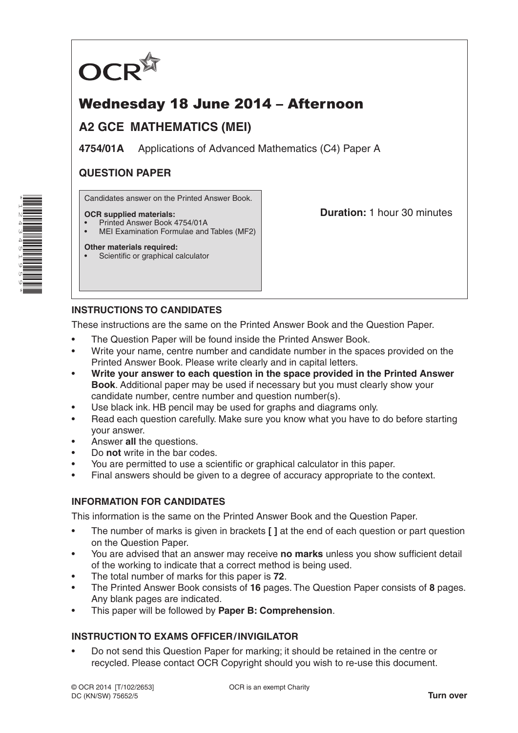

# Wednesday 18 June 2014 – Afternoon

# **A2 GCE MATHEMATICS (MEI)**

**4754/01A** Applications of Advanced Mathematics (C4) Paper A

# **QUESTION PAPER**

Candidates answer on the Printed Answer Book.

#### **OCR supplied materials:**

- Printed Answer Book 4754/01A
- MEI Examination Formulae and Tables (MF2)

## **Duration:** 1 hour 30 minutes

#### **Other materials required:** Scientific or graphical calculator

## **INSTRUCTIONS TO CANDIDATES**

These instructions are the same on the Printed Answer Book and the Question Paper.

- The Question Paper will be found inside the Printed Answer Book.
- Write your name, centre number and candidate number in the spaces provided on the Printed Answer Book. Please write clearly and in capital letters.
- **Write your answer to each question in the space provided in the Printed Answer Book**. Additional paper may be used if necessary but you must clearly show your candidate number, centre number and question number(s).
- Use black ink. HB pencil may be used for graphs and diagrams only.
- Read each question carefully. Make sure you know what you have to do before starting your answer.
- Answer **all** the questions.
- Do **not** write in the bar codes.
- You are permitted to use a scientific or graphical calculator in this paper.
- Final answers should be given to a degree of accuracy appropriate to the context.

### **INFORMATION FOR CANDIDATES**

This information is the same on the Printed Answer Book and the Question Paper.

- The number of marks is given in brackets **[ ]** at the end of each question or part question on the Question Paper.
- You are advised that an answer may receive **no marks** unless you show sufficient detail of the working to indicate that a correct method is being used.
- The total number of marks for this paper is **72**.
- The Printed Answer Book consists of **16** pages. The Question Paper consists of **8** pages. Any blank pages are indicated.
- This paper will be followed by **Paper B: Comprehension**.

## **INSTRUCTION TO EXAMS OFFICER/INVIGILATOR**

• Do not send this Question Paper for marking; it should be retained in the centre or recycled. Please contact OCR Copyright should you wish to re-use this document.

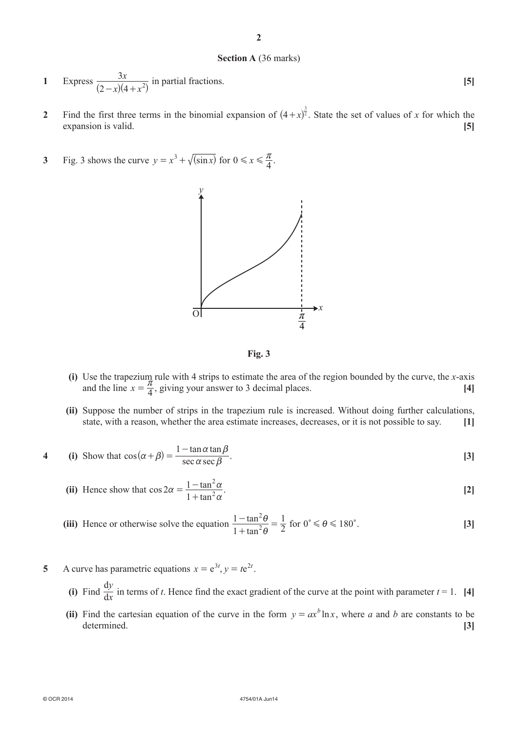- **1** Express  $(x)(4 + x)$ *x*  $(2-x)(4)$ 3  $\frac{3x}{(2-x)(4+x^2)}$  in partial fractions. **[5]**
- **2** Find the first three terms in the binomial expansion of  $(4+x)^{\frac{3}{2}}$ . State the set of values of *x* for which the expansion is valid. **[5]**
- **3** Fig. 3 shows the curve  $y = x^3 + \sqrt{(\sin x)}$  for  $0 \le x \le \frac{\pi}{4}$ .



**Fig. 3**

- **(i)** Use the trapezium rule with 4 strips to estimate the area of the region bounded by the curve, the *x*-axis and the line  $x = \frac{\pi}{4}$ , giving your answer to 3 decimal places. [4]
- **(ii)** Suppose the number of strips in the trapezium rule is increased. Without doing further calculations, state, with a reason, whether the area estimate increases, decreases, or it is not possible to say. **[1]**

4 (i) Show that 
$$
\cos(\alpha + \beta) = \frac{1 - \tan \alpha \tan \beta}{\sec \alpha \sec \beta}
$$
. [3]

(ii) Hence show that 
$$
\cos 2\alpha = \frac{1 - \tan^2 \alpha}{1 + \tan^2 \alpha}
$$
. [2]

(iii) Hence or otherwise solve the equation  $\frac{1}{1 + \tan x}$ tan 1 1 2 1 2 2 *i i* +  $\frac{-\tan^2 \theta}{\theta} = \frac{1}{2}$  for  $0^\circ \le \theta \le 180^\circ$ . [3]

- **5** A curve has parametric equations  $x = e^{3t}$ ,  $y = te^{2t}$ .
	- **(i)** Find  $\frac{dy}{dx}$ *y*  $\frac{dy}{dx}$  in terms of *t*. Hence find the exact gradient of the curve at the point with parameter *t* = 1. **[4]**
	- (ii) Find the cartesian equation of the curve in the form  $y = ax^b \ln x$ , where *a* and *b* are constants to be determined. **[3]**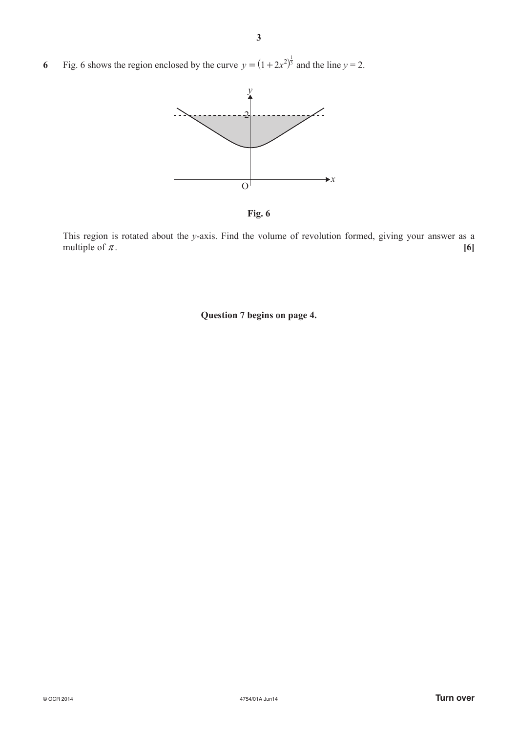**6** Fig. 6 shows the region enclosed by the curve  $y = (1 + 2x^2)^{\frac{1}{3}}$  and the line  $y = 2$ .





This region is rotated about the *y*-axis. Find the volume of revolution formed, giving your answer as a multiple of  $\pi$ .  $[6]$ 

**Question 7 begins on page 4.**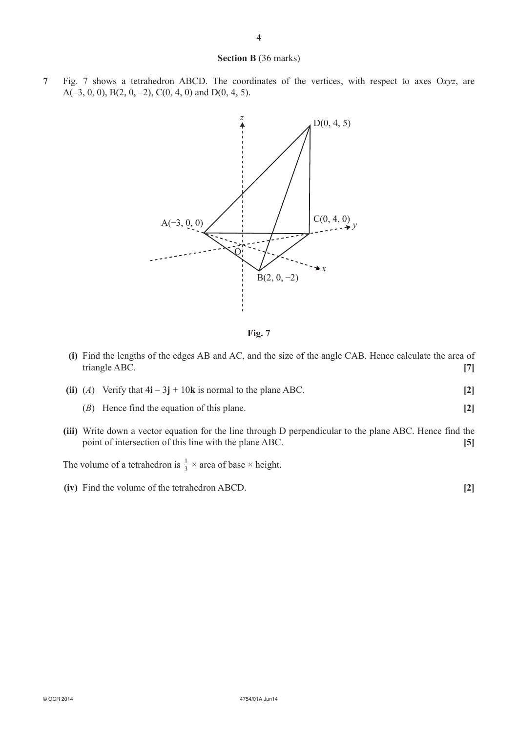#### **Section B** (36 marks)

**7** Fig. 7 shows a tetrahedron ABCD. The coordinates of the vertices, with respect to axes O*xyz*, are  $A(-3, 0, 0), B(2, 0, -2), C(0, 4, 0)$  and  $D(0, 4, 5)$ .



**Fig. 7**

| (i) Find the lengths of the edges AB and AC, and the size of the angle CAB. Hence calculate the area of<br>triangle ABC.                                           |            |
|--------------------------------------------------------------------------------------------------------------------------------------------------------------------|------------|
| Verify that $4i - 3j + 10k$ is normal to the plane ABC.<br>$(ii)$ $(A)$                                                                                            | 2          |
| Hence find the equation of this plane.<br>(B)                                                                                                                      | [2]        |
| (iii) Write down a vector equation for the line through D perpendicular to the plane ABC. Hence find the<br>point of intersection of this line with the plane ABC. | <u>[5]</u> |
| The volume of a tetrahedron is $\frac{1}{3} \times$ area of base $\times$ height.                                                                                  |            |

**(iv)** Find the volume of the tetrahedron ABCD. **[2]**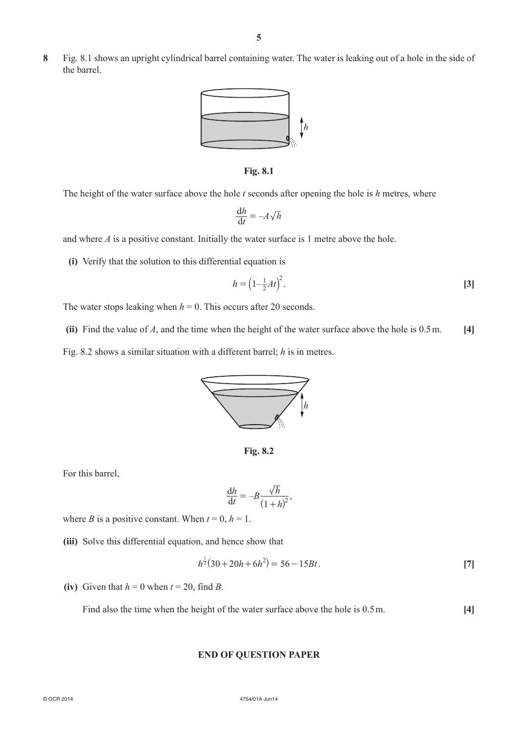**8** Fig. 8.1 shows an upright cylindrical barrel containing water. The water is leaking out of a hole in the side of the barrel.





The height of the water surface above the hole *t* seconds after opening the hole is *h* metres, where

$$
\frac{\mathrm{d}h}{\mathrm{d}t} = -A\sqrt{h}
$$

and where  $A$  is a positive constant. Initially the water surface is 1 metre above the hole.

**(i)** Verify that the solution to this differential equation is

$$
h = \left(1 - \frac{1}{2}At\right)^2.
$$

The water stops leaking when  $h = 0$ . This occurs after 20 seconds.

**(ii)** Find the value of *A*, and the time when the height of the water surface above the hole is 0.5m. **[4]**

Fig. 8.2 shows a similar situation with a different barrel; *h* is in metres.



**Fig. 8.2**

For this barrel,

$$
\frac{\mathrm{d}h}{\mathrm{d}t} = -B \frac{\sqrt{h}}{(1+h)^2},
$$

where *B* is a positive constant. When  $t = 0$ ,  $h = 1$ .

**(iii)** Solve this differential equation, and hence show that

$$
h^{\frac{1}{2}}(30+20h+6h^2) = 56-15Bt.
$$
 [7]

**(iv)** Given that  $h = 0$  when  $t = 20$ , find *B*.

Find also the time when the height of the water surface above the hole is  $0.5$  m. [4]

#### **END OF QUESTION PAPER**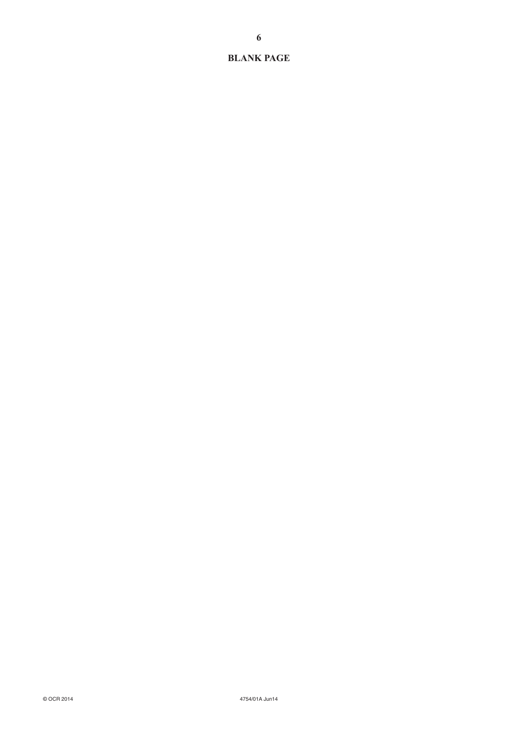#### **BLANK PAGE**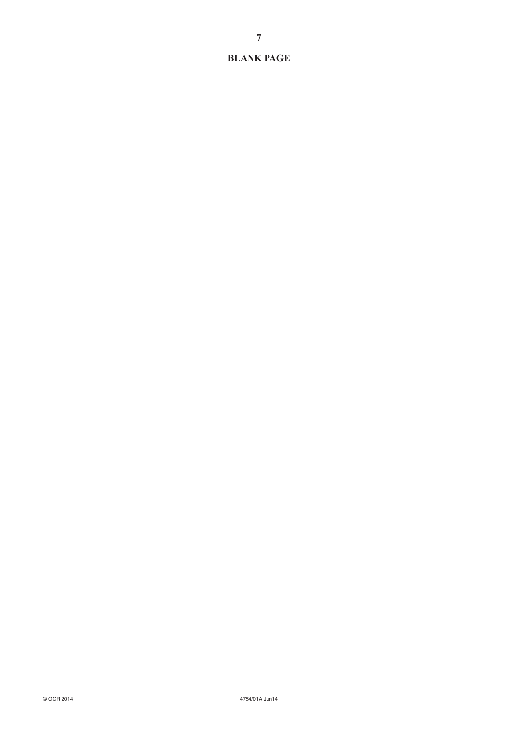#### **BLANK PAGE**